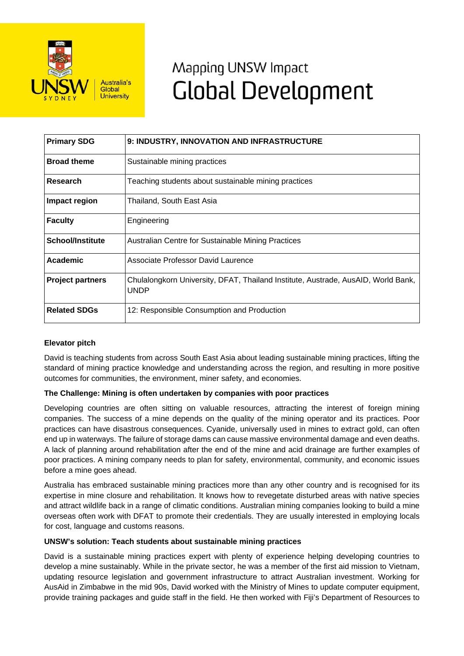

# Mapping UNSW Impact **Global Development**

| <b>Primary SDG</b>      | 9: INDUSTRY, INNOVATION AND INFRASTRUCTURE                                                       |
|-------------------------|--------------------------------------------------------------------------------------------------|
| <b>Broad theme</b>      | Sustainable mining practices                                                                     |
| Research                | Teaching students about sustainable mining practices                                             |
| Impact region           | Thailand, South East Asia                                                                        |
| <b>Faculty</b>          | Engineering                                                                                      |
| <b>School/Institute</b> | Australian Centre for Sustainable Mining Practices                                               |
| Academic                | Associate Professor David Laurence                                                               |
| <b>Project partners</b> | Chulalongkorn University, DFAT, Thailand Institute, Austrade, AusAID, World Bank,<br><b>UNDP</b> |
| <b>Related SDGs</b>     | 12: Responsible Consumption and Production                                                       |

## **Elevator pitch**

David is teaching students from across South East Asia about leading sustainable mining practices, lifting the standard of mining practice knowledge and understanding across the region, and resulting in more positive outcomes for communities, the environment, miner safety, and economies.

## **The Challenge: Mining is often undertaken by companies with poor practices**

Developing countries are often sitting on valuable resources, attracting the interest of foreign mining companies. The success of a mine depends on the quality of the mining operator and its practices. Poor practices can have disastrous consequences. Cyanide, universally used in mines to extract gold, can often end up in waterways. The failure of storage dams can cause massive environmental damage and even deaths. A lack of planning around rehabilitation after the end of the mine and acid drainage are further examples of poor practices. A mining company needs to plan for safety, environmental, community, and economic issues before a mine goes ahead.

Australia has embraced sustainable mining practices more than any other country and is recognised for its expertise in mine closure and rehabilitation. It knows how to revegetate disturbed areas with native species and attract wildlife back in a range of climatic conditions. Australian mining companies looking to build a mine overseas often work with DFAT to promote their credentials. They are usually interested in employing locals for cost, language and customs reasons.

### **UNSW's solution: Teach students about sustainable mining practices**

David is a sustainable mining practices expert with plenty of experience helping developing countries to develop a mine sustainably. While in the private sector, he was a member of the first aid mission to Vietnam, updating resource legislation and government infrastructure to attract Australian investment. Working for AusAid in Zimbabwe in the mid 90s, David worked with the Ministry of Mines to update computer equipment, provide training packages and guide staff in the field. He then worked with Fiji's Department of Resources to